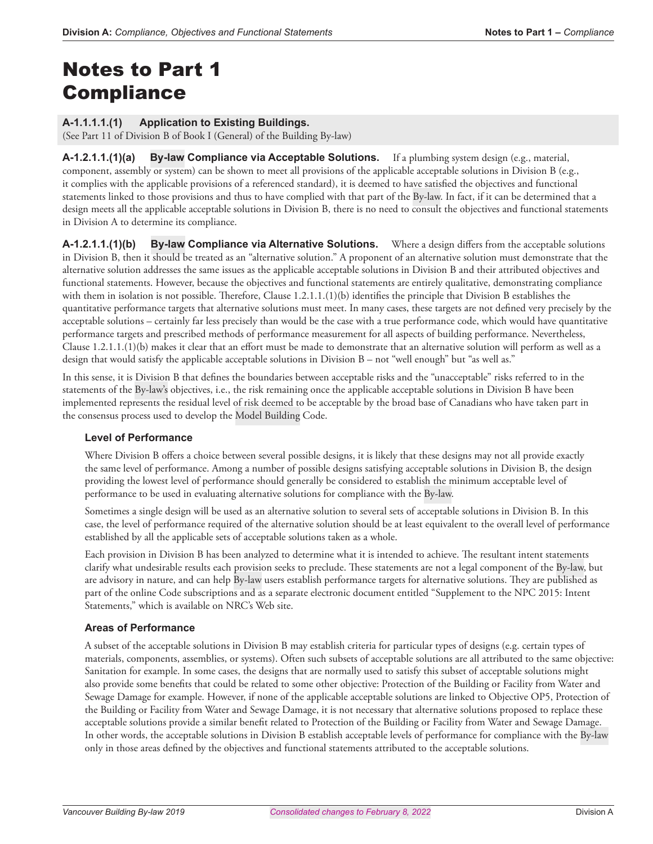# Notes to Part 1 **Compliance**

# **A-1.1.1.1.(1) Application to Existing Buildings.**

(See Part 11 of Division B of Book I (General) of the Building By-law)

A-1.2.1.1.(1)(a) By-law Compliance via Acceptable Solutions. If a plumbing system design (e.g., material, component, assembly or system) can be shown to meet all provisions of the applicable acceptable solutions in Division B (e.g., it complies with the applicable provisions of a referenced standard), it is deemed to have satisfied the objectives and functional statements linked to those provisions and thus to have complied with that part of the By-law. In fact, if it can be determined that a design meets all the applicable acceptable solutions in Division B, there is no need to consult the objectives and functional statements in Division A to determine its compliance.

**A-1.2.1.1.(1)(b) By-law Compliance via Alternative Solutions.** Where a design differs from the acceptable solutions in Division B, then it should be treated as an "alternative solution." A proponent of an alternative solution must demonstrate that the alternative solution addresses the same issues as the applicable acceptable solutions in Division B and their attributed objectives and functional statements. However, because the objectives and functional statements are entirely qualitative, demonstrating compliance with them in isolation is not possible. Therefore, Clause 1.2.1.1.(1)(b) identifies the principle that Division B establishes the quantitative performance targets that alternative solutions must meet. In many cases, these targets are not defined very precisely by the acceptable solutions – certainly far less precisely than would be the case with a true performance code, which would have quantitative performance targets and prescribed methods of performance measurement for all aspects of building performance. Nevertheless, Clause 1.2.1.1.(1)(b) makes it clear that an effort must be made to demonstrate that an alternative solution will perform as well as a design that would satisfy the applicable acceptable solutions in Division B – not "well enough" but "as well as."

In this sense, it is Division B that defines the boundaries between acceptable risks and the "unacceptable" risks referred to in the statements of the By-law's objectives, i.e., the risk remaining once the applicable acceptable solutions in Division B have been implemented represents the residual level of risk deemed to be acceptable by the broad base of Canadians who have taken part in the consensus process used to develop the Model Building Code.

#### **Level of Performance**

Where Division B offers a choice between several possible designs, it is likely that these designs may not all provide exactly the same level of performance. Among a number of possible designs satisfying acceptable solutions in Division B, the design providing the lowest level of performance should generally be considered to establish the minimum acceptable level of performance to be used in evaluating alternative solutions for compliance with the By-law.

Sometimes a single design will be used as an alternative solution to several sets of acceptable solutions in Division B. In this case, the level of performance required of the alternative solution should be at least equivalent to the overall level of performance established by all the applicable sets of acceptable solutions taken as a whole.

Each provision in Division B has been analyzed to determine what it is intended to achieve. The resultant intent statements clarify what undesirable results each provision seeks to preclude. These statements are not a legal component of the By-law, but are advisory in nature, and can help By-law users establish performance targets for alternative solutions. They are published as part of the online Code subscriptions and as a separate electronic document entitled "Supplement to the NPC 2015: Intent Statements," which is available on NRC's Web site.

# **Areas of Performance**

A subset of the acceptable solutions in Division B may establish criteria for particular types of designs (e.g. certain types of materials, components, assemblies, or systems). Often such subsets of acceptable solutions are all attributed to the same objective: Sanitation for example. In some cases, the designs that are normally used to satisfy this subset of acceptable solutions might also provide some benefits that could be related to some other objective: Protection of the Building or Facility from Water and Sewage Damage for example. However, if none of the applicable acceptable solutions are linked to Objective OP5, Protection of the Building or Facility from Water and Sewage Damage, it is not necessary that alternative solutions proposed to replace these acceptable solutions provide a similar benefit related to Protection of the Building or Facility from Water and Sewage Damage. In other words, the acceptable solutions in Division B establish acceptable levels of performance for compliance with the By-law only in those areas defined by the objectives and functional statements attributed to the acceptable solutions.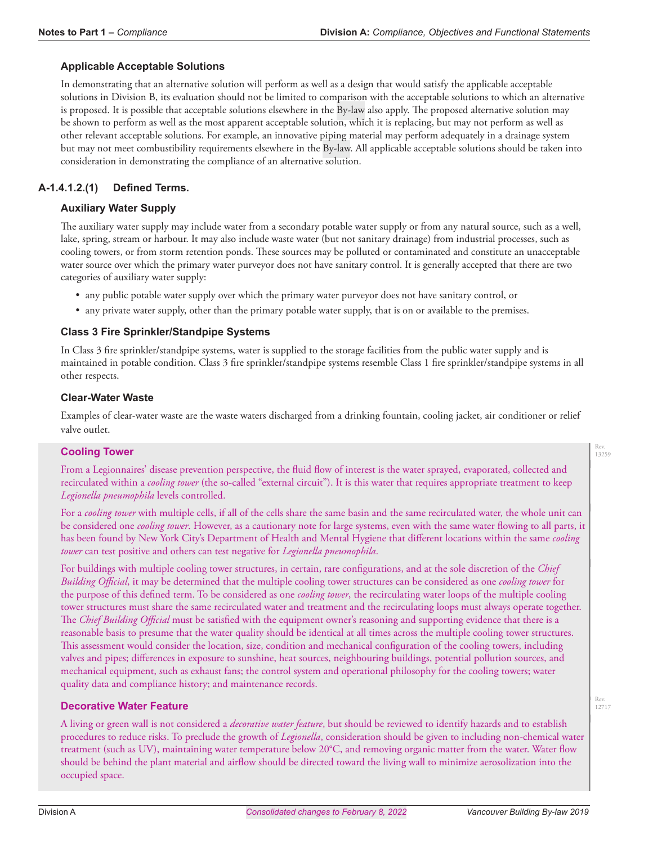## **Applicable Acceptable Solutions**

In demonstrating that an alternative solution will perform as well as a design that would satisfy the applicable acceptable solutions in Division B, its evaluation should not be limited to comparison with the acceptable solutions to which an alternative is proposed. It is possible that acceptable solutions elsewhere in the By-law also apply. The proposed alternative solution may be shown to perform as well as the most apparent acceptable solution, which it is replacing, but may not perform as well as other relevant acceptable solutions. For example, an innovative piping material may perform adequately in a drainage system but may not meet combustibility requirements elsewhere in the By-law. All applicable acceptable solutions should be taken into consideration in demonstrating the compliance of an alternative solution.

# **A-1.4.1.2.(1) Defined Terms.**

### **Auxiliary Water Supply**

The auxiliary water supply may include water from a secondary potable water supply or from any natural source, such as a well, lake, spring, stream or harbour. It may also include waste water (but not sanitary drainage) from industrial processes, such as cooling towers, or from storm retention ponds. These sources may be polluted or contaminated and constitute an unacceptable water source over which the primary water purveyor does not have sanitary control. It is generally accepted that there are two categories of auxiliary water supply:

- any public potable water supply over which the primary water purveyor does not have sanitary control, or
- any private water supply, other than the primary potable water supply, that is on or available to the premises.

## **Class 3 Fire Sprinkler/Standpipe Systems**

In Class 3 fire sprinkler/standpipe systems, water is supplied to the storage facilities from the public water supply and is maintained in potable condition. Class 3 fire sprinkler/standpipe systems resemble Class 1 fire sprinkler/standpipe systems in all other respects.

#### **Clear-Water Waste**

Examples of clear-water waste are the waste waters discharged from a drinking fountain, cooling jacket, air conditioner or relief valve outlet.

#### **Cooling Tower**

From a Legionnaires' disease prevention perspective, the fluid flow of interest is the water sprayed, evaporated, collected and recirculated within a *cooling tower* (the so-called "external circuit"). It is this water that requires appropriate treatment to keep *Legionella pneumophila* levels controlled.

For a *cooling tower* with multiple cells, if all of the cells share the same basin and the same recirculated water, the whole unit can be considered one *cooling tower*. However, as a cautionary note for large systems, even with the same water flowing to all parts, it has been found by New York City's Department of Health and Mental Hygiene that different locations within the same *cooling tower* can test positive and others can test negative for *Legionella pneumophila*.

For buildings with multiple cooling tower structures, in certain, rare configurations, and at the sole discretion of the *Chief Building Official*, it may be determined that the multiple cooling tower structures can be considered as one *cooling tower* for the purpose of this defined term. To be considered as one *cooling tower*, the recirculating water loops of the multiple cooling tower structures must share the same recirculated water and treatment and the recirculating loops must always operate together. The *Chief Building Official* must be satisfied with the equipment owner's reasoning and supporting evidence that there is a reasonable basis to presume that the water quality should be identical at all times across the multiple cooling tower structures. This assessment would consider the location, size, condition and mechanical configuration of the cooling towers, including valves and pipes; differences in exposure to sunshine, heat sources, neighbouring buildings, potential pollution sources, and mechanical equipment, such as exhaust fans; the control system and operational philosophy for the cooling towers; water quality data and compliance history; and maintenance records.

#### **Decorative Water Feature**

A living or green wall is not considered a *decorative water feature*, but should be reviewed to identify hazards and to establish procedures to reduce risks. To preclude the growth of *Legionella*, consideration should be given to including non-chemical water treatment (such as UV), maintaining water temperature below 20°C, and removing organic matter from the water. Water flow should be behind the plant material and airflow should be directed toward the living wall to minimize aerosolization into the occupied space.

Rev. 13259

Rev. 12717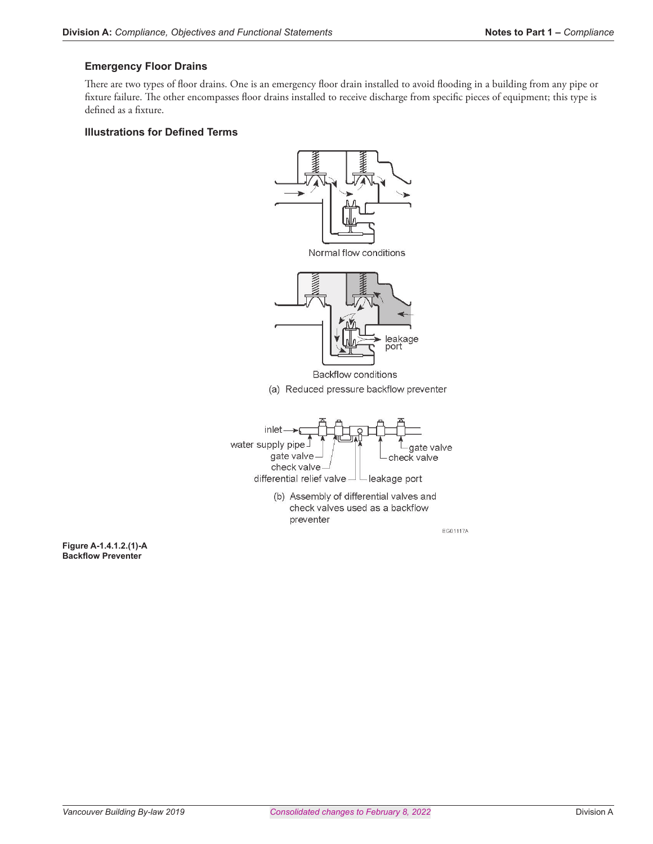## **Emergency Floor Drains**

There are two types of floor drains. One is an emergency floor drain installed to avoid flooding in a building from any pipe or fixture failure. The other encompasses floor drains installed to receive discharge from specific pieces of equipment; this type is defined as a fixture.

#### **Illustrations for Defined Terms**



**Figure A-1.4.1.2.(1)-A Backflow Preventer**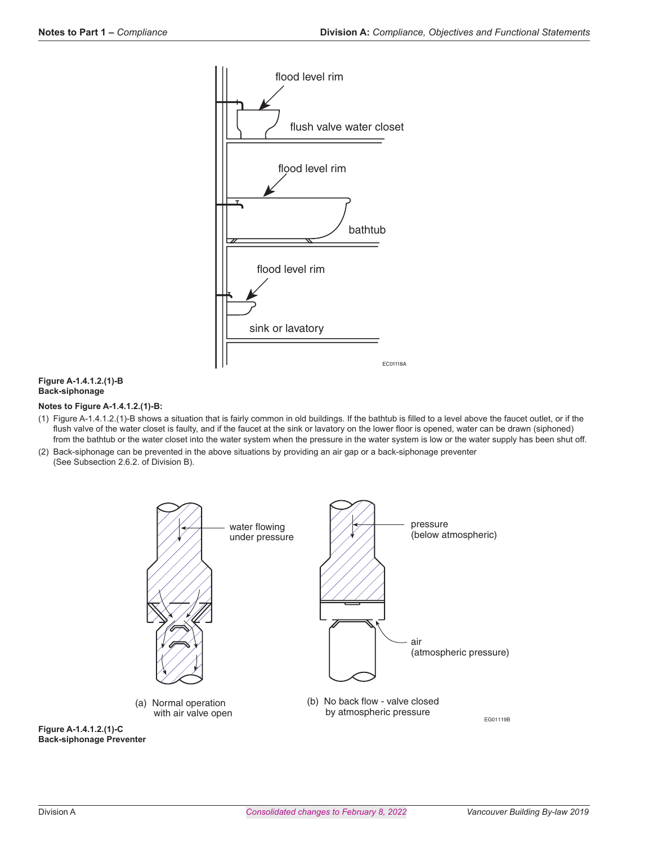

#### **Figure A-1.4.1.2.(1)-B Back-siphonage**

#### **Notes to Figure A-1.4.1.2.(1)-B:**

- (1) Figure A-1.4.1.2.(1)-B shows a situation that is fairly common in old buildings. If the bathtub is filled to a level above the faucet outlet, or if the flush valve of the water closet is faulty, and if the faucet at the sink or lavatory on the lower floor is opened, water can be drawn (siphoned) from the bathtub or the water closet into the water system when the pressure in the water system is low or the water supply has been shut off.
- (2) Back-siphonage can be prevented in the above situations by providing an air gap or a back-siphonage preventer (See Subsection 2.6.2. of Division B).



**Figure A-1.4.1.2.(1)-C Back-siphonage Preventer**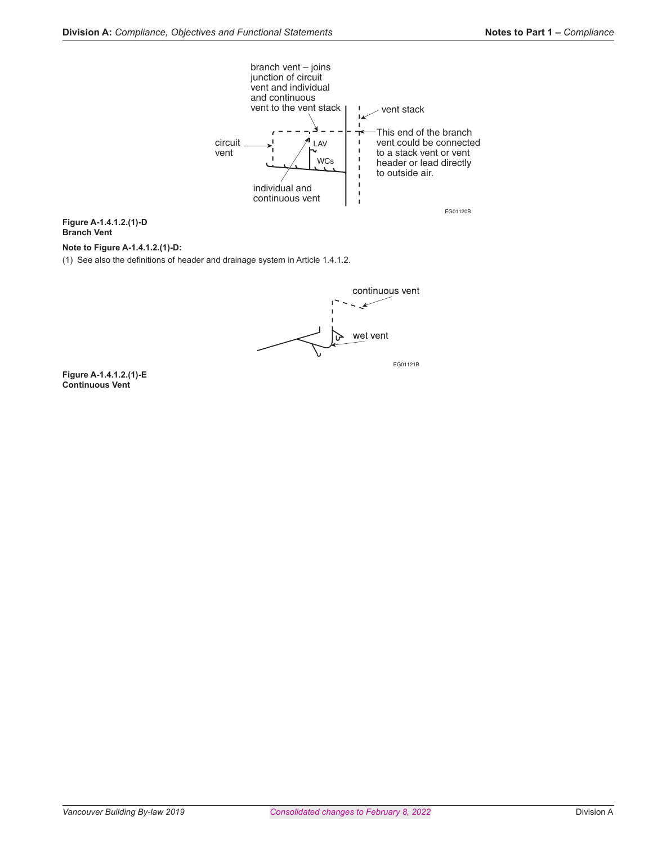

**Figure A-1.4.1.2.(1)-D Branch Vent**

#### **Note to Figure A-1.4.1.2.(1)-D:**

(1) See also the definitions of header and drainage system in Article 1.4.1.2.



**Figure A-1.4.1.2.(1)-E Continuous Vent**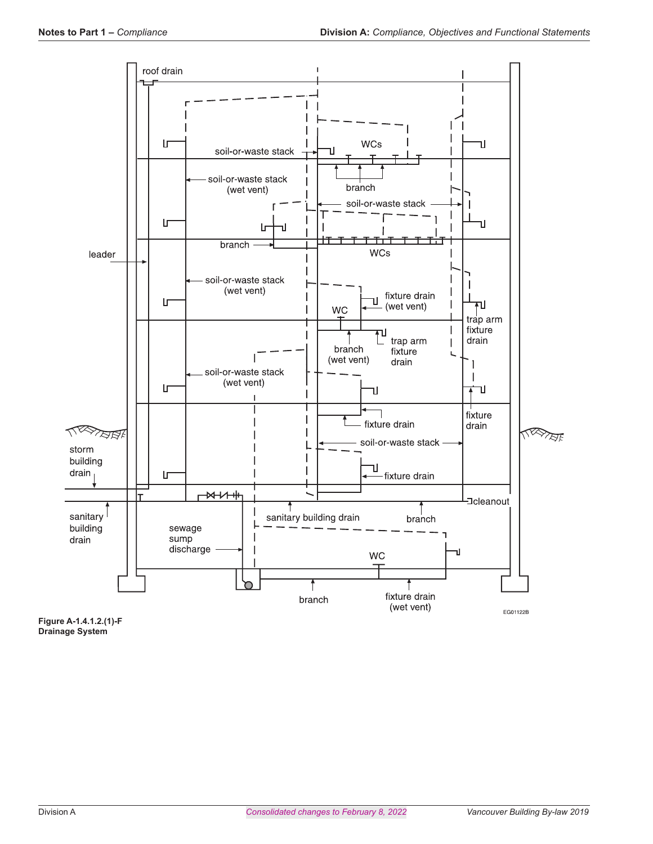

**Figure A-1.4.1.2.(1)-F Drainage System**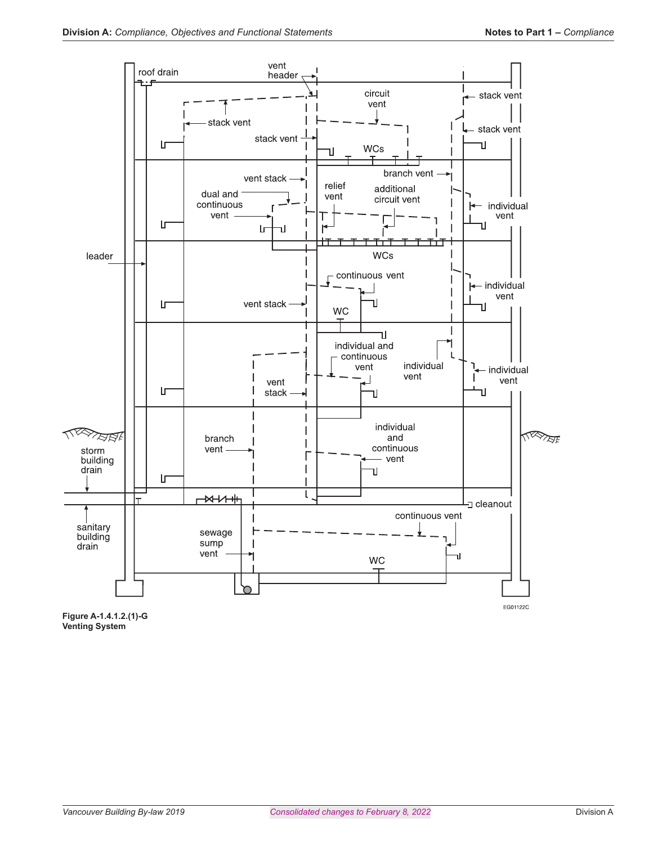

**Figure A-1.4.1.2.(1)-G Venting System**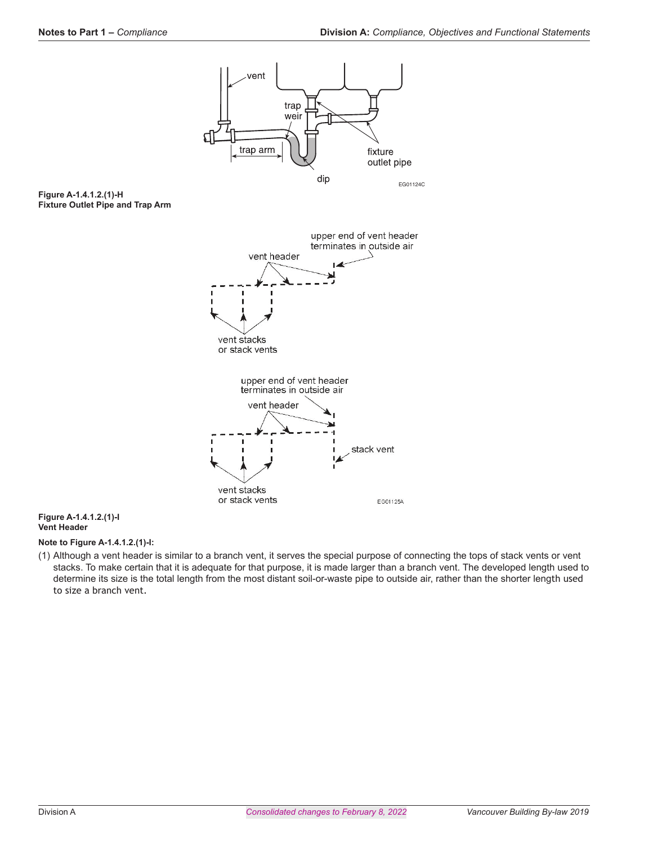

#### **Figure A-1.4.1.2.(1)-I Vent Header**

#### **Note to Figure A-1.4.1.2.(1)-I:**

(1) Although a vent header is similar to a branch vent, it serves the special purpose of connecting the tops of stack vents or vent stacks. To make certain that it is adequate for that purpose, it is made larger than a branch vent. The developed length used to determine its size is the total length from the most distant soil-or-waste pipe to outside air, rather than the shorter length used to size a branch vent.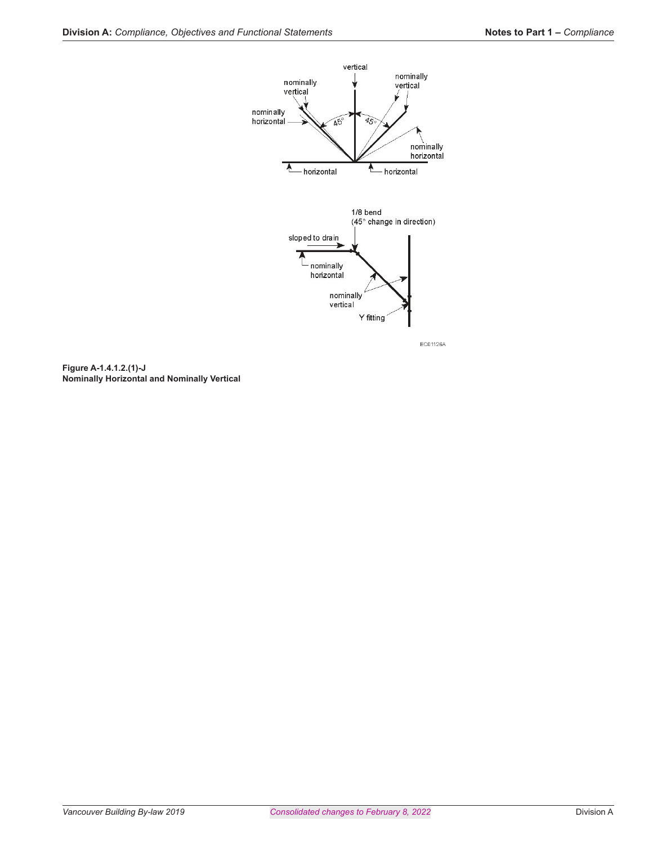



EC01126A

**Figure A-1.4.1.2.(1)-J Nominally Horizontal and Nominally Vertical**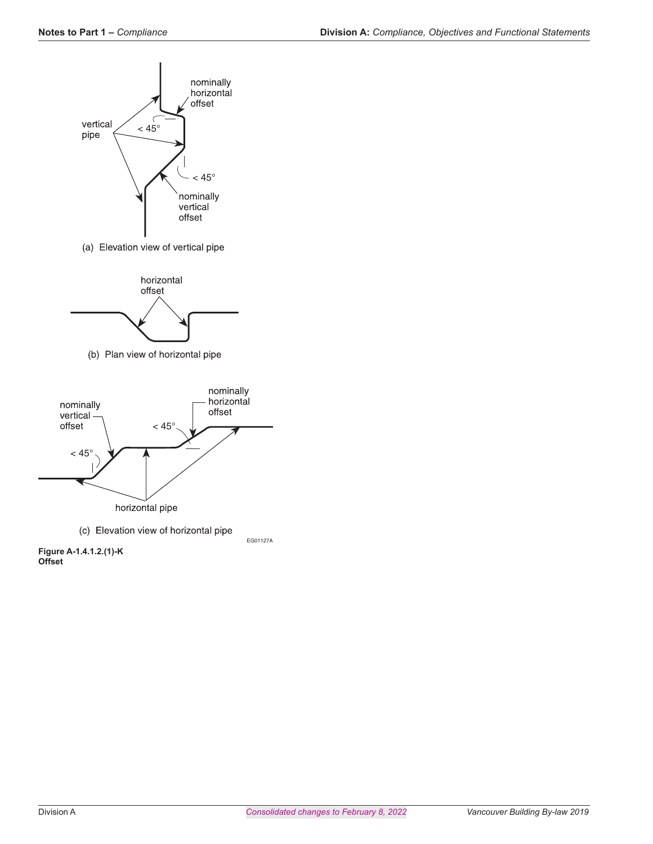